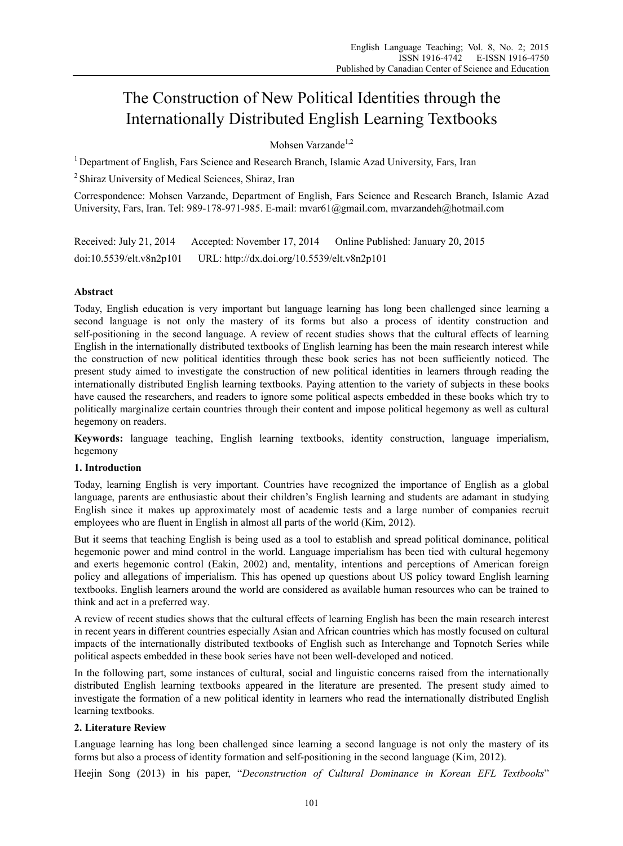# The Construction of New Political Identities through the Internationally Distributed English Learning Textbooks

Mohsen Varzande<sup>1,2</sup>

<sup>1</sup> Department of English, Fars Science and Research Branch, Islamic Azad University, Fars, Iran

2 Shiraz University of Medical Sciences, Shiraz, Iran

Correspondence: Mohsen Varzande, Department of English, Fars Science and Research Branch, Islamic Azad University, Fars, Iran. Tel: 989-178-971-985. E-mail: mvar61@gmail.com, mvarzandeh@hotmail.com

| Received: July 21, 2014  | Accepted: November 17, 2014                 | Online Published: January 20, 2015 |
|--------------------------|---------------------------------------------|------------------------------------|
| doi:10.5539/elt.v8n2p101 | URL: http://dx.doi.org/10.5539/elt.v8n2p101 |                                    |

## **Abstract**

Today, English education is very important but language learning has long been challenged since learning a second language is not only the mastery of its forms but also a process of identity construction and self-positioning in the second language. A review of recent studies shows that the cultural effects of learning English in the internationally distributed textbooks of English learning has been the main research interest while the construction of new political identities through these book series has not been sufficiently noticed. The present study aimed to investigate the construction of new political identities in learners through reading the internationally distributed English learning textbooks. Paying attention to the variety of subjects in these books have caused the researchers, and readers to ignore some political aspects embedded in these books which try to politically marginalize certain countries through their content and impose political hegemony as well as cultural hegemony on readers.

**Keywords:** language teaching, English learning textbooks, identity construction, language imperialism, hegemony

#### **1. Introduction**

Today, learning English is very important. Countries have recognized the importance of English as a global language, parents are enthusiastic about their children's English learning and students are adamant in studying English since it makes up approximately most of academic tests and a large number of companies recruit employees who are fluent in English in almost all parts of the world (Kim, 2012).

But it seems that teaching English is being used as a tool to establish and spread political dominance, political hegemonic power and mind control in the world. Language imperialism has been tied with cultural hegemony and exerts hegemonic control (Eakin, 2002) and, mentality, intentions and perceptions of American foreign policy and allegations of imperialism. This has opened up questions about US policy toward English learning textbooks. English learners around the world are considered as available human resources who can be trained to think and act in a preferred way.

A review of recent studies shows that the cultural effects of learning English has been the main research interest in recent years in different countries especially Asian and African countries which has mostly focused on cultural impacts of the internationally distributed textbooks of English such as Interchange and Topnotch Series while political aspects embedded in these book series have not been well-developed and noticed.

In the following part, some instances of cultural, social and linguistic concerns raised from the internationally distributed English learning textbooks appeared in the literature are presented. The present study aimed to investigate the formation of a new political identity in learners who read the internationally distributed English learning textbooks.

#### **2. Literature Review**

Language learning has long been challenged since learning a second language is not only the mastery of its forms but also a process of identity formation and self-positioning in the second language (Kim, 2012).

Heejin Song (2013) in his paper, "*Deconstruction of Cultural Dominance in Korean EFL Textbooks*"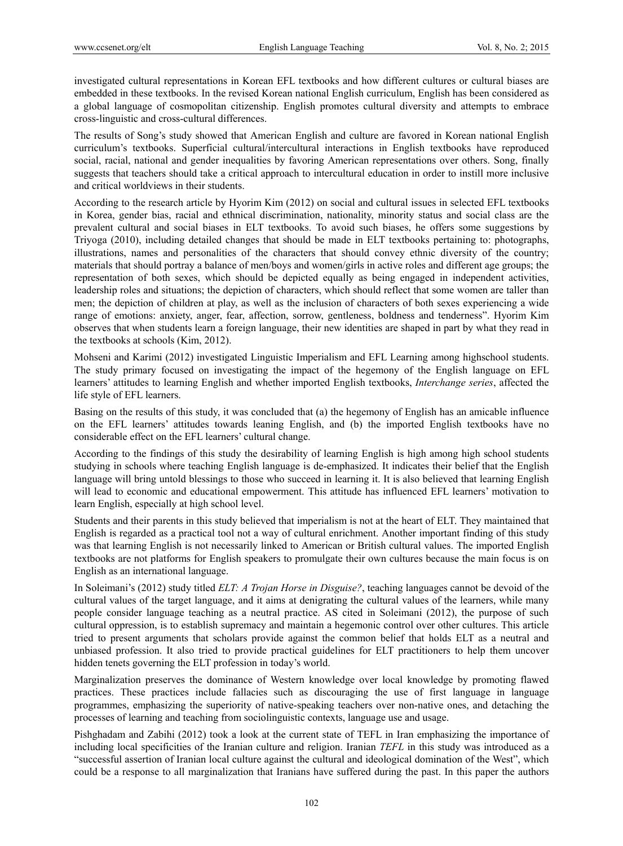investigated cultural representations in Korean EFL textbooks and how different cultures or cultural biases are embedded in these textbooks. In the revised Korean national English curriculum, English has been considered as a global language of cosmopolitan citizenship. English promotes cultural diversity and attempts to embrace cross-linguistic and cross-cultural differences.

The results of Song's study showed that American English and culture are favored in Korean national English curriculum's textbooks. Superficial cultural/intercultural interactions in English textbooks have reproduced social, racial, national and gender inequalities by favoring American representations over others. Song, finally suggests that teachers should take a critical approach to intercultural education in order to instill more inclusive and critical worldviews in their students.

According to the research article by Hyorim Kim (2012) on social and cultural issues in selected EFL textbooks in Korea, gender bias, racial and ethnical discrimination, nationality, minority status and social class are the prevalent cultural and social biases in ELT textbooks. To avoid such biases, he offers some suggestions by Triyoga (2010), including detailed changes that should be made in ELT textbooks pertaining to: photographs, illustrations, names and personalities of the characters that should convey ethnic diversity of the country; materials that should portray a balance of men/boys and women/girls in active roles and different age groups; the representation of both sexes, which should be depicted equally as being engaged in independent activities, leadership roles and situations; the depiction of characters, which should reflect that some women are taller than men; the depiction of children at play, as well as the inclusion of characters of both sexes experiencing a wide range of emotions: anxiety, anger, fear, affection, sorrow, gentleness, boldness and tenderness". Hyorim Kim observes that when students learn a foreign language, their new identities are shaped in part by what they read in the textbooks at schools (Kim, 2012).

Mohseni and Karimi (2012) investigated Linguistic Imperialism and EFL Learning among highschool students. The study primary focused on investigating the impact of the hegemony of the English language on EFL learners' attitudes to learning English and whether imported English textbooks, *Interchange series*, affected the life style of EFL learners.

Basing on the results of this study, it was concluded that (a) the hegemony of English has an amicable influence on the EFL learners' attitudes towards leaning English, and (b) the imported English textbooks have no considerable effect on the EFL learners' cultural change.

According to the findings of this study the desirability of learning English is high among high school students studying in schools where teaching English language is de-emphasized. It indicates their belief that the English language will bring untold blessings to those who succeed in learning it. It is also believed that learning English will lead to economic and educational empowerment. This attitude has influenced EFL learners' motivation to learn English, especially at high school level.

Students and their parents in this study believed that imperialism is not at the heart of ELT. They maintained that English is regarded as a practical tool not a way of cultural enrichment. Another important finding of this study was that learning English is not necessarily linked to American or British cultural values. The imported English textbooks are not platforms for English speakers to promulgate their own cultures because the main focus is on English as an international language.

In Soleimani's (2012) study titled *ELT: A Trojan Horse in Disguise?*, teaching languages cannot be devoid of the cultural values of the target language, and it aims at denigrating the cultural values of the learners, while many people consider language teaching as a neutral practice. AS cited in Soleimani (2012), the purpose of such cultural oppression, is to establish supremacy and maintain a hegemonic control over other cultures. This article tried to present arguments that scholars provide against the common belief that holds ELT as a neutral and unbiased profession. It also tried to provide practical guidelines for ELT practitioners to help them uncover hidden tenets governing the ELT profession in today's world.

Marginalization preserves the dominance of Western knowledge over local knowledge by promoting flawed practices. These practices include fallacies such as discouraging the use of first language in language programmes, emphasizing the superiority of native-speaking teachers over non-native ones, and detaching the processes of learning and teaching from sociolinguistic contexts, language use and usage.

Pishghadam and Zabihi (2012) took a look at the current state of TEFL in Iran emphasizing the importance of including local specificities of the Iranian culture and religion. Iranian *TEFL* in this study was introduced as a "successful assertion of Iranian local culture against the cultural and ideological domination of the West", which could be a response to all marginalization that Iranians have suffered during the past. In this paper the authors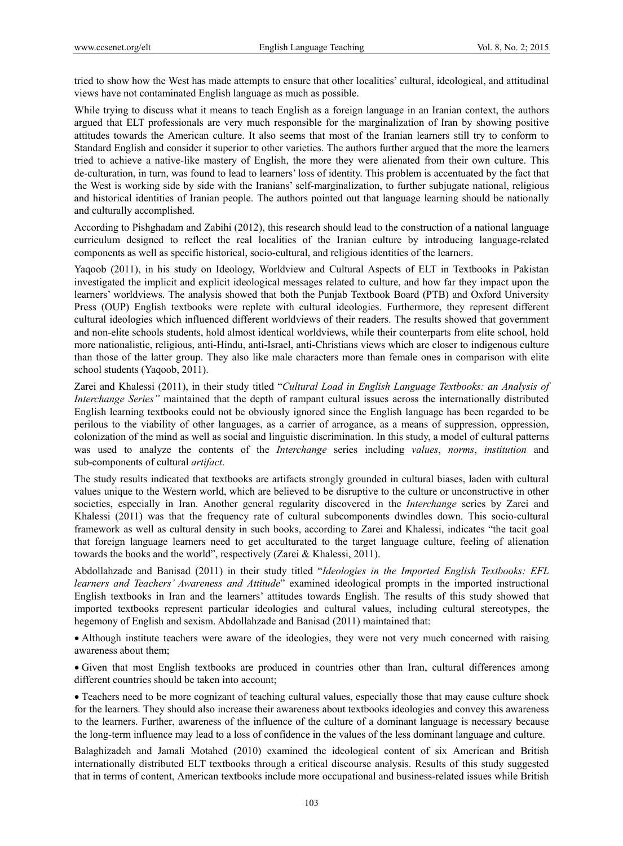tried to show how the West has made attempts to ensure that other localities' cultural, ideological, and attitudinal views have not contaminated English language as much as possible.

While trying to discuss what it means to teach English as a foreign language in an Iranian context, the authors argued that ELT professionals are very much responsible for the marginalization of Iran by showing positive attitudes towards the American culture. It also seems that most of the Iranian learners still try to conform to Standard English and consider it superior to other varieties. The authors further argued that the more the learners tried to achieve a native-like mastery of English, the more they were alienated from their own culture. This de-culturation, in turn, was found to lead to learners' loss of identity. This problem is accentuated by the fact that the West is working side by side with the Iranians' self-marginalization, to further subjugate national, religious and historical identities of Iranian people. The authors pointed out that language learning should be nationally and culturally accomplished.

According to Pishghadam and Zabihi (2012), this research should lead to the construction of a national language curriculum designed to reflect the real localities of the Iranian culture by introducing language-related components as well as specific historical, socio-cultural, and religious identities of the learners.

Yaqoob (2011), in his study on Ideology, Worldview and Cultural Aspects of ELT in Textbooks in Pakistan investigated the implicit and explicit ideological messages related to culture, and how far they impact upon the learners' worldviews. The analysis showed that both the Punjab Textbook Board (PTB) and Oxford University Press (OUP) English textbooks were replete with cultural ideologies. Furthermore, they represent different cultural ideologies which influenced different worldviews of their readers. The results showed that government and non-elite schools students, hold almost identical worldviews, while their counterparts from elite school, hold more nationalistic, religious, anti-Hindu, anti-Israel, anti-Christians views which are closer to indigenous culture than those of the latter group. They also like male characters more than female ones in comparison with elite school students (Yaqoob, 2011).

Zarei and Khalessi (2011), in their study titled "*Cultural Load in English Language Textbooks: an Analysis of Interchange Series"* maintained that the depth of rampant cultural issues across the internationally distributed English learning textbooks could not be obviously ignored since the English language has been regarded to be perilous to the viability of other languages, as a carrier of arrogance, as a means of suppression, oppression, colonization of the mind as well as social and linguistic discrimination. In this study, a model of cultural patterns was used to analyze the contents of the *Interchange* series including *values*, *norms*, *institution* and sub-components of cultural *artifact*.

The study results indicated that textbooks are artifacts strongly grounded in cultural biases, laden with cultural values unique to the Western world, which are believed to be disruptive to the culture or unconstructive in other societies, especially in Iran. Another general regularity discovered in the *Interchange* series by Zarei and Khalessi (2011) was that the frequency rate of cultural subcomponents dwindles down. This socio-cultural framework as well as cultural density in such books, according to Zarei and Khalessi, indicates "the tacit goal that foreign language learners need to get acculturated to the target language culture, feeling of alienation towards the books and the world", respectively (Zarei & Khalessi, 2011).

Abdollahzade and Banisad (2011) in their study titled "*Ideologies in the Imported English Textbooks: EFL learners and Teachers' Awareness and Attitude*" examined ideological prompts in the imported instructional English textbooks in Iran and the learners' attitudes towards English. The results of this study showed that imported textbooks represent particular ideologies and cultural values, including cultural stereotypes, the hegemony of English and sexism. Abdollahzade and Banisad (2011) maintained that:

 Although institute teachers were aware of the ideologies, they were not very much concerned with raising awareness about them;

 Given that most English textbooks are produced in countries other than Iran, cultural differences among different countries should be taken into account;

 Teachers need to be more cognizant of teaching cultural values, especially those that may cause culture shock for the learners. They should also increase their awareness about textbooks ideologies and convey this awareness to the learners. Further, awareness of the influence of the culture of a dominant language is necessary because the long-term influence may lead to a loss of confidence in the values of the less dominant language and culture.

Balaghizadeh and Jamali Motahed (2010) examined the ideological content of six American and British internationally distributed ELT textbooks through a critical discourse analysis. Results of this study suggested that in terms of content, American textbooks include more occupational and business-related issues while British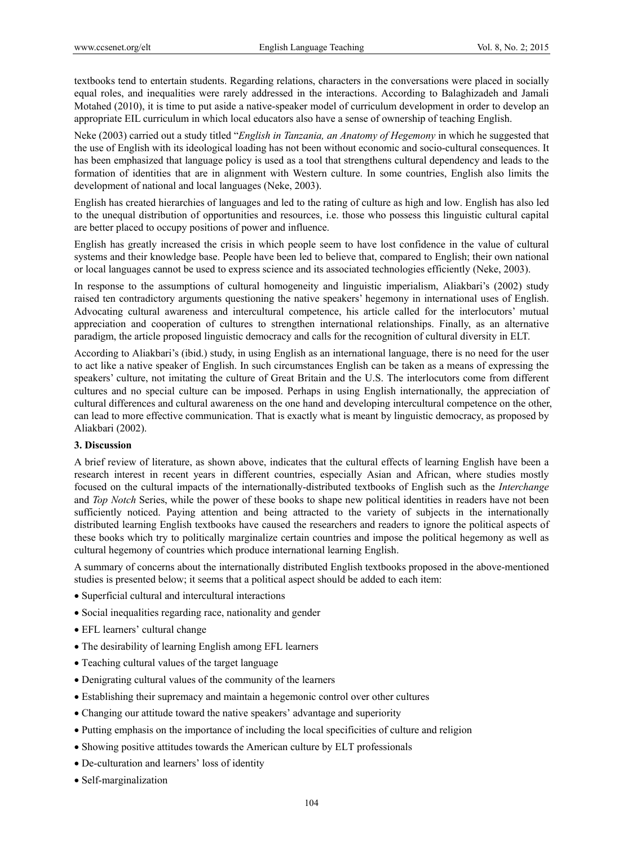textbooks tend to entertain students. Regarding relations, characters in the conversations were placed in socially equal roles, and inequalities were rarely addressed in the interactions. According to Balaghizadeh and Jamali Motahed (2010), it is time to put aside a native-speaker model of curriculum development in order to develop an appropriate EIL curriculum in which local educators also have a sense of ownership of teaching English.

Neke (2003) carried out a study titled "*English in Tanzania, an Anatomy of Hegemony* in which he suggested that the use of English with its ideological loading has not been without economic and socio-cultural consequences. It has been emphasized that language policy is used as a tool that strengthens cultural dependency and leads to the formation of identities that are in alignment with Western culture. In some countries, English also limits the development of national and local languages (Neke, 2003).

English has created hierarchies of languages and led to the rating of culture as high and low. English has also led to the unequal distribution of opportunities and resources, i.e. those who possess this linguistic cultural capital are better placed to occupy positions of power and influence.

English has greatly increased the crisis in which people seem to have lost confidence in the value of cultural systems and their knowledge base. People have been led to believe that, compared to English; their own national or local languages cannot be used to express science and its associated technologies efficiently (Neke, 2003).

In response to the assumptions of cultural homogeneity and linguistic imperialism, Aliakbari's (2002) study raised ten contradictory arguments questioning the native speakers' hegemony in international uses of English. Advocating cultural awareness and intercultural competence, his article called for the interlocutors' mutual appreciation and cooperation of cultures to strengthen international relationships. Finally, as an alternative paradigm, the article proposed linguistic democracy and calls for the recognition of cultural diversity in ELT.

According to Aliakbari's (ibid.) study, in using English as an international language, there is no need for the user to act like a native speaker of English. In such circumstances English can be taken as a means of expressing the speakers' culture, not imitating the culture of Great Britain and the U.S. The interlocutors come from different cultures and no special culture can be imposed. Perhaps in using English internationally, the appreciation of cultural differences and cultural awareness on the one hand and developing intercultural competence on the other, can lead to more effective communication. That is exactly what is meant by linguistic democracy, as proposed by Aliakbari (2002).

#### **3. Discussion**

A brief review of literature, as shown above, indicates that the cultural effects of learning English have been a research interest in recent years in different countries, especially Asian and African, where studies mostly focused on the cultural impacts of the internationally-distributed textbooks of English such as the *Interchange* and *Top Notch* Series, while the power of these books to shape new political identities in readers have not been sufficiently noticed. Paying attention and being attracted to the variety of subjects in the internationally distributed learning English textbooks have caused the researchers and readers to ignore the political aspects of these books which try to politically marginalize certain countries and impose the political hegemony as well as cultural hegemony of countries which produce international learning English.

A summary of concerns about the internationally distributed English textbooks proposed in the above-mentioned studies is presented below; it seems that a political aspect should be added to each item:

- Superficial cultural and intercultural interactions
- Social inequalities regarding race, nationality and gender
- EFL learners' cultural change
- The desirability of learning English among EFL learners
- Teaching cultural values of the target language
- Denigrating cultural values of the community of the learners
- Establishing their supremacy and maintain a hegemonic control over other cultures
- Changing our attitude toward the native speakers' advantage and superiority
- Putting emphasis on the importance of including the local specificities of culture and religion
- Showing positive attitudes towards the American culture by ELT professionals
- De-culturation and learners' loss of identity
- Self-marginalization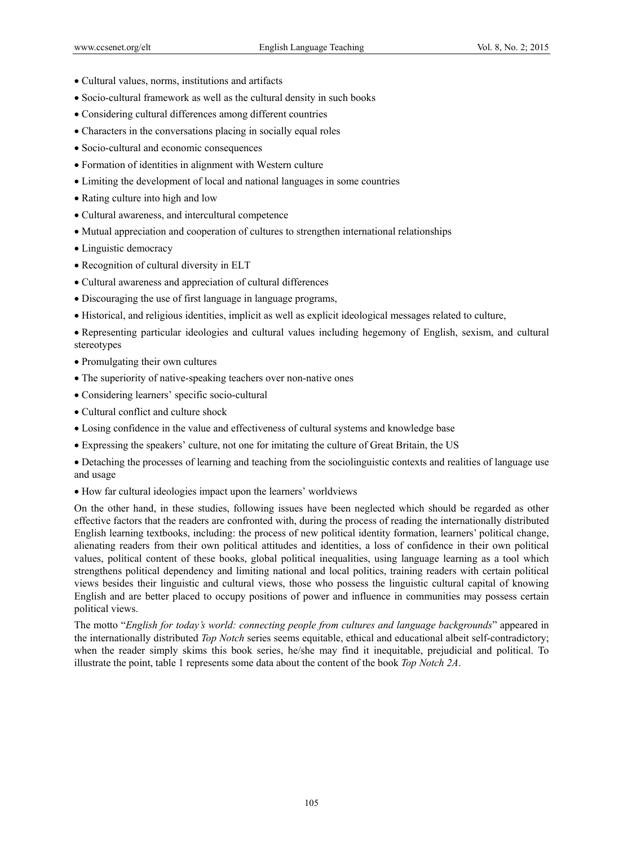- Cultural values, norms, institutions and artifacts
- Socio-cultural framework as well as the cultural density in such books
- Considering cultural differences among different countries
- Characters in the conversations placing in socially equal roles
- Socio-cultural and economic consequences
- Formation of identities in alignment with Western culture
- Limiting the development of local and national languages in some countries
- Rating culture into high and low
- Cultural awareness, and intercultural competence
- Mutual appreciation and cooperation of cultures to strengthen international relationships
- Linguistic democracy
- Recognition of cultural diversity in ELT
- Cultural awareness and appreciation of cultural differences
- Discouraging the use of first language in language programs,
- Historical, and religious identities, implicit as well as explicit ideological messages related to culture,

 Representing particular ideologies and cultural values including hegemony of English, sexism, and cultural stereotypes

- Promulgating their own cultures
- The superiority of native-speaking teachers over non-native ones
- Considering learners' specific socio-cultural
- Cultural conflict and culture shock
- Losing confidence in the value and effectiveness of cultural systems and knowledge base
- Expressing the speakers' culture, not one for imitating the culture of Great Britain, the US
- Detaching the processes of learning and teaching from the sociolinguistic contexts and realities of language use and usage
- How far cultural ideologies impact upon the learners' worldviews

On the other hand, in these studies, following issues have been neglected which should be regarded as other effective factors that the readers are confronted with, during the process of reading the internationally distributed English learning textbooks, including: the process of new political identity formation, learners' political change, alienating readers from their own political attitudes and identities, a loss of confidence in their own political values, political content of these books, global political inequalities, using language learning as a tool which strengthens political dependency and limiting national and local politics, training readers with certain political views besides their linguistic and cultural views, those who possess the linguistic cultural capital of knowing English and are better placed to occupy positions of power and influence in communities may possess certain political views.

The motto "*English for today's world: connecting people from cultures and language backgrounds*" appeared in the internationally distributed *Top Notch* series seems equitable, ethical and educational albeit self-contradictory; when the reader simply skims this book series, he/she may find it inequitable, prejudicial and political. To illustrate the point, table 1 represents some data about the content of the book *Top Notch 2A*.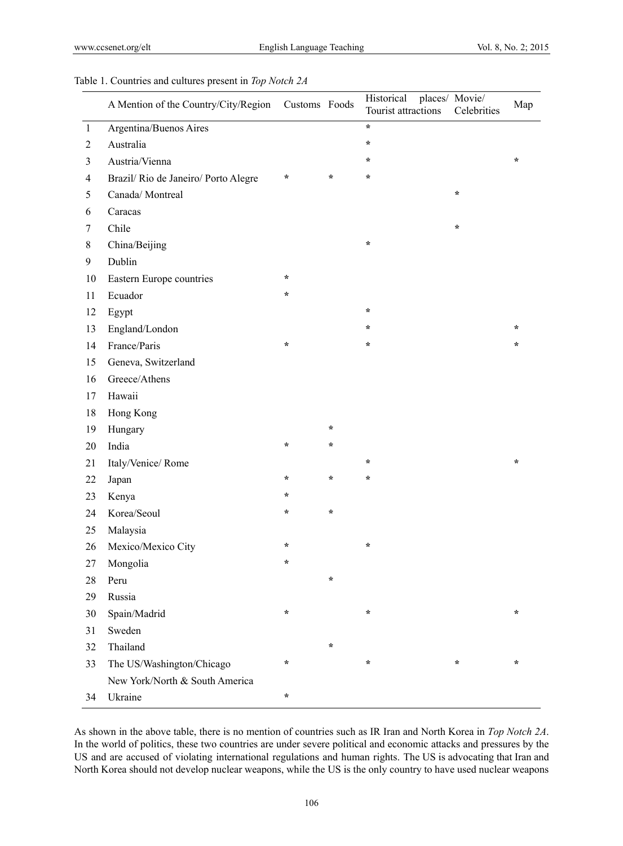### Table 1. Countries and cultures present in *Top Notch 2A*

|              | A Mention of the Country/City/Region Customs Foods |         |            | Historical<br>Tourist attractions | places/ Movie/<br>Celebrities | Map     |
|--------------|----------------------------------------------------|---------|------------|-----------------------------------|-------------------------------|---------|
| $\mathbf{1}$ | Argentina/Buenos Aires                             |         |            | $\star$                           |                               |         |
| 2            | Australia                                          |         |            | $\star$                           |                               |         |
| 3            | Austria/Vienna                                     |         |            | ÷                                 |                               | $\star$ |
| 4            | Brazil/Rio de Janeiro/Porto Alegre                 | $\star$ | $\star$    | $\ast$                            |                               |         |
| 5            | Canada/Montreal                                    |         |            |                                   | $\star$                       |         |
| 6            | Caracas                                            |         |            |                                   |                               |         |
| 7            | Chile                                              |         |            |                                   | $\star$                       |         |
| 8            | China/Beijing                                      |         |            | $\star$                           |                               |         |
| 9            | Dublin                                             |         |            |                                   |                               |         |
| 10           | Eastern Europe countries                           | $\star$ |            |                                   |                               |         |
| 11           | Ecuador                                            | $\star$ |            |                                   |                               |         |
| 12           | Egypt                                              |         |            | ÷                                 |                               |         |
| 13           | England/London                                     |         |            | $\star$                           |                               | $\star$ |
| 14           | France/Paris                                       | $\star$ |            | $\star$                           |                               | $\star$ |
| 15           | Geneva, Switzerland                                |         |            |                                   |                               |         |
| 16           | Greece/Athens                                      |         |            |                                   |                               |         |
| 17           | Hawaii                                             |         |            |                                   |                               |         |
| 18           | Hong Kong                                          |         |            |                                   |                               |         |
| 19           | Hungary                                            |         | $^{\star}$ |                                   |                               |         |
| 20           | India                                              | $\star$ | $\star$    |                                   |                               |         |
| 21           | Italy/Venice/Rome                                  |         |            | ÷                                 |                               | $\star$ |
| 22           | Japan                                              | $\star$ | $\star$    | $\star$                           |                               |         |
| 23           | Kenya                                              | $\star$ |            |                                   |                               |         |
| 24           | Korea/Seoul                                        | ÷       | $^{\star}$ |                                   |                               |         |
| 25           | Malaysia                                           |         |            |                                   |                               |         |
| 26           | Mexico/Mexico City                                 | $\star$ |            | $\star$                           |                               |         |
| 27           | Mongolia                                           |         |            |                                   |                               |         |
| 28           | Peru                                               |         | $\star$    |                                   |                               |         |
| 29           | Russia                                             |         |            |                                   |                               |         |
| 30           | Spain/Madrid                                       | $\star$ |            | ÷                                 |                               | $\star$ |
| 31           | Sweden                                             |         |            |                                   |                               |         |
| 32           | Thailand                                           |         | $\star$    |                                   |                               |         |
| 33           | The US/Washington/Chicago                          | $\star$ |            | ÷                                 | $\star$                       | $\star$ |
|              | New York/North & South America                     |         |            |                                   |                               |         |
| 34           | Ukraine                                            | $\star$ |            |                                   |                               |         |

As shown in the above table, there is no mention of countries such as IR Iran and North Korea in *Top Notch 2A*. In the world of politics, these two countries are under severe political and economic attacks and pressures by the US and are accused of violating international regulations and human rights. The US is advocating that Iran and North Korea should not develop nuclear weapons, while the US is the only country to have used nuclear weapons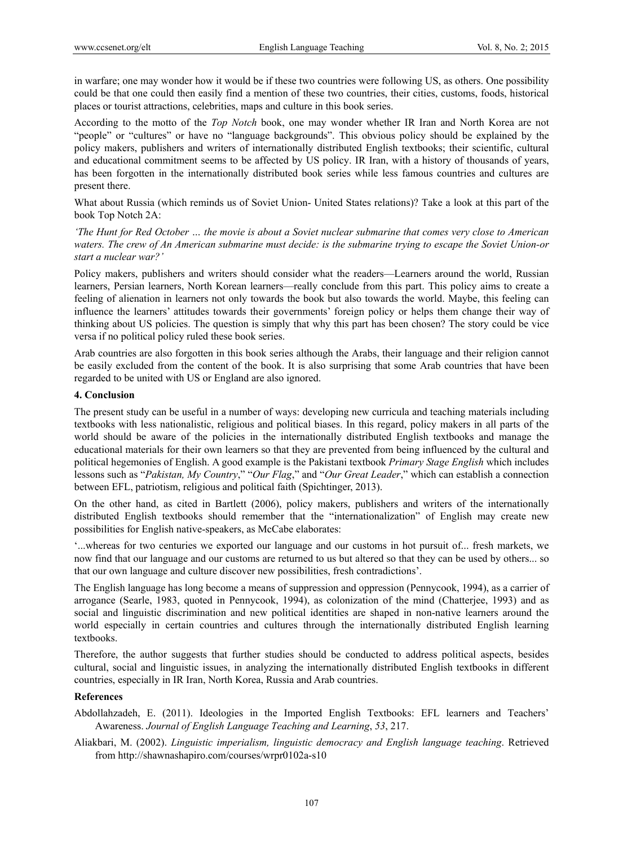in warfare; one may wonder how it would be if these two countries were following US, as others. One possibility could be that one could then easily find a mention of these two countries, their cities, customs, foods, historical places or tourist attractions, celebrities, maps and culture in this book series.

According to the motto of the *Top Notch* book, one may wonder whether IR Iran and North Korea are not "people" or "cultures" or have no "language backgrounds". This obvious policy should be explained by the policy makers, publishers and writers of internationally distributed English textbooks; their scientific, cultural and educational commitment seems to be affected by US policy. IR Iran, with a history of thousands of years, has been forgotten in the internationally distributed book series while less famous countries and cultures are present there.

What about Russia (which reminds us of Soviet Union- United States relations)? Take a look at this part of the book Top Notch 2A:

*'The Hunt for Red October … the movie is about a Soviet nuclear submarine that comes very close to American waters. The crew of An American submarine must decide: is the submarine trying to escape the Soviet Union-or start a nuclear war?'* 

Policy makers, publishers and writers should consider what the readers—Learners around the world, Russian learners, Persian learners, North Korean learners—really conclude from this part. This policy aims to create a feeling of alienation in learners not only towards the book but also towards the world. Maybe, this feeling can influence the learners' attitudes towards their governments' foreign policy or helps them change their way of thinking about US policies. The question is simply that why this part has been chosen? The story could be vice versa if no political policy ruled these book series.

Arab countries are also forgotten in this book series although the Arabs, their language and their religion cannot be easily excluded from the content of the book. It is also surprising that some Arab countries that have been regarded to be united with US or England are also ignored.

#### **4. Conclusion**

The present study can be useful in a number of ways: developing new curricula and teaching materials including textbooks with less nationalistic, religious and political biases. In this regard, policy makers in all parts of the world should be aware of the policies in the internationally distributed English textbooks and manage the educational materials for their own learners so that they are prevented from being influenced by the cultural and political hegemonies of English. A good example is the Pakistani textbook *Primary Stage English* which includes lessons such as "*Pakistan, My Country*," "*Our Flag*," and "*Our Great Leader*," which can establish a connection between EFL, patriotism, religious and political faith (Spichtinger, 2013).

On the other hand, as cited in Bartlett (2006), policy makers, publishers and writers of the internationally distributed English textbooks should remember that the "internationalization" of English may create new possibilities for English native-speakers, as McCabe elaborates:

'...whereas for two centuries we exported our language and our customs in hot pursuit of... fresh markets, we now find that our language and our customs are returned to us but altered so that they can be used by others... so that our own language and culture discover new possibilities, fresh contradictions'.

The English language has long become a means of suppression and oppression (Pennycook, 1994), as a carrier of arrogance (Searle, 1983, quoted in Pennycook, 1994), as colonization of the mind (Chatterjee, 1993) and as social and linguistic discrimination and new political identities are shaped in non-native learners around the world especially in certain countries and cultures through the internationally distributed English learning textbooks.

Therefore, the author suggests that further studies should be conducted to address political aspects, besides cultural, social and linguistic issues, in analyzing the internationally distributed English textbooks in different countries, especially in IR Iran, North Korea, Russia and Arab countries.

#### **References**

Abdollahzadeh, E. (2011). Ideologies in the Imported English Textbooks: EFL learners and Teachers' Awareness. *Journal of English Language Teaching and Learning*, *53*, 217.

Aliakbari, M. (2002). *Linguistic imperialism, linguistic democracy and English language teaching*. Retrieved from http://shawnashapiro.com/courses/wrpr0102a-s10